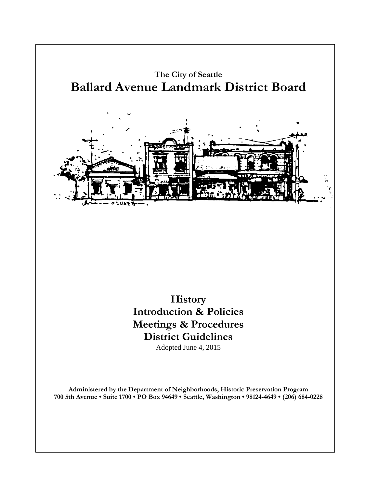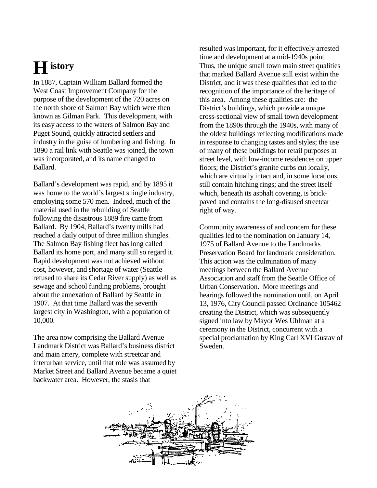# **History**

In 1887, Captain William Ballard formed the West Coast Improvement Company for the purpose of the development of the 720 acres on the north shore of Salmon Bay which were then known as Gilman Park. This development, with its easy access to the waters of Salmon Bay and Puget Sound, quickly attracted settlers and industry in the guise of lumbering and fishing. In 1890 a rail link with Seattle was joined, the town was incorporated, and its name changed to Ballard.

Ballard's development was rapid, and by 1895 it was home to the world's largest shingle industry, employing some 570 men. Indeed, much of the material used in the rebuilding of Seattle following the disastrous 1889 fire came from Ballard. By 1904, Ballard's twenty mills had reached a daily output of three million shingles. The Salmon Bay fishing fleet has long called Ballard its home port, and many still so regard it. Rapid development was not achieved without cost, however, and shortage of water (Seattle refused to share its Cedar River supply) as well as sewage and school funding problems, brought about the annexation of Ballard by Seattle in 1907. At that time Ballard was the seventh largest city in Washington, with a population of 10,000.

The area now comprising the Ballard Avenue Landmark District was Ballard's business district and main artery, complete with streetcar and interurban service, until that role was assumed by Market Street and Ballard Avenue became a quiet backwater area. However, the stasis that

resulted was important, for it effectively arrested time and development at a mid-1940s point. Thus, the unique small town main street qualities that marked Ballard Avenue still exist within the District, and it was these qualities that led to the recognition of the importance of the heritage of this area. Among these qualities are: the District's buildings, which provide a unique cross-sectional view of small town development from the 1890s through the 1940s, with many of the oldest buildings reflecting modifications made in response to changing tastes and styles; the use of many of these buildings for retail purposes at street level, with low-income residences on upper floors; the District's granite curbs cut locally, which are virtually intact and, in some locations, still contain hitching rings; and the street itself which, beneath its asphalt covering, is brickpaved and contains the long-disused streetcar right of way.

Community awareness of and concern for these qualities led to the nomination on January 14, 1975 of Ballard Avenue to the Landmarks Preservation Board for landmark consideration. This action was the culmination of many meetings between the Ballard Avenue Association and staff from the Seattle Office of Urban Conservation. More meetings and hearings followed the nomination until, on April 13, 1976, City Council passed Ordinance 105462 creating the District, which was subsequently signed into law by Mayor Wes Uhlman at a ceremony in the District, concurrent with a special proclamation by King Carl XVI Gustav of Sweden.

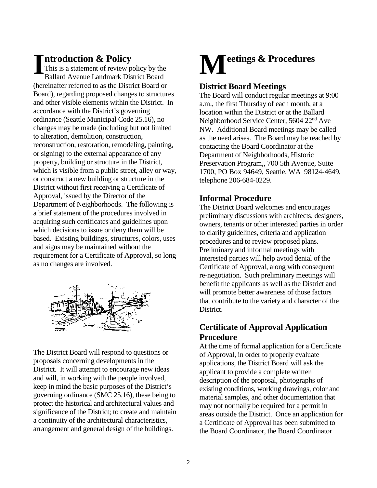## **ntroduction & Policy**

This is a statement of review policy by the Ballard Avenue Landmark District Board (hereinafter referred to as the District Board or Board), regarding proposed changes to structures and other visible elements within the District. In accordance with the District's governing ordinance (Seattle Municipal Code 25.16), no changes may be made (including but not limited to alteration, demolition, construction, reconstruction, restoration, remodeling, painting, or signing) to the external appearance of any property, building or structure in the District, which is visible from a public street, alley or way, or construct a new building or structure in the District without first receiving a Certificate of Approval, issued by the Director of the Department of Neighborhoods. The following is a brief statement of the procedures involved in acquiring such certificates and guidelines upon which decisions to issue or deny them will be based. Existing buildings, structures, colors, uses and signs may be maintained without the requirement for a Certificate of Approval, so long as no changes are involved. **I Introduction & Policy**<br>This is a statement of review policy by the<br>Ballard Avenue Landmark District Board



The District Board will respond to questions or proposals concerning developments in the District. It will attempt to encourage new ideas and will, in working with the people involved, keep in mind the basic purposes of the District's governing ordinance (SMC 25.16), these being to protect the historical and architectural values and significance of the District; to create and maintain a continuity of the architectural characteristics, arrangement and general design of the buildings.



## **District Board Meetings**

The Board will conduct regular meetings at 9:00 a.m., the first Thursday of each month, at a location within the District or at the Ballard Neighborhood Service Center, 5604 22<sup>nd</sup> Ave NW. Additional Board meetings may be called as the need arises. The Board may be reached by contacting the Board Coordinator at the Department of Neighborhoods, Historic Preservation Program,, 700 5th Avenue, Suite 1700, PO Box 94649, Seattle, WA 98124-4649, telephone 206-684-0229.

## **Informal Procedure**

The District Board welcomes and encourages preliminary discussions with architects, designers, owners, tenants or other interested parties in order to clarify guidelines, criteria and application procedures and to review proposed plans. Preliminary and informal meetings with interested parties will help avoid denial of the Certificate of Approval, along with consequent re-negotiation. Such preliminary meetings will benefit the applicants as well as the District and will promote better awareness of those factors that contribute to the variety and character of the District.

## **Certificate of Approval Application Procedure**

At the time of formal application for a Certificate of Approval, in order to properly evaluate applications, the District Board will ask the applicant to provide a complete written description of the proposal, photographs of existing conditions, working drawings, color and material samples, and other documentation that may not normally be required for a permit in areas outside the District. Once an application for a Certificate of Approval has been submitted to the Board Coordinator, the Board Coordinator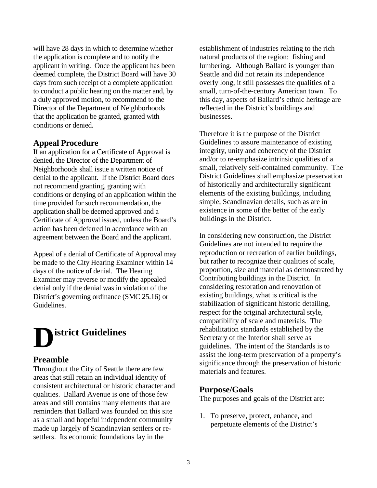will have 28 days in which to determine whether the application is complete and to notify the applicant in writing. Once the applicant has been deemed complete, the District Board will have 30 days from such receipt of a complete application to conduct a public hearing on the matter and, by a duly approved motion, to recommend to the Director of the Department of Neighborhoods that the application be granted, granted with conditions or denied.

## **Appeal Procedure**

If an application for a Certificate of Approval is denied, the Director of the Department of Neighborhoods shall issue a written notice of denial to the applicant. If the District Board does not recommend granting, granting with conditions or denying of an application within the time provided for such recommendation, the application shall be deemed approved and a Certificate of Approval issued, unless the Board's action has been deferred in accordance with an agreement between the Board and the applicant.

Appeal of a denial of Certificate of Approval may be made to the City Hearing Examiner within 14 days of the notice of denial. The Hearing Examiner may reverse or modify the appealed denial only if the denial was in violation of the District's governing ordinance (SMC 25.16) or Guidelines.



### **Preamble**

Throughout the City of Seattle there are few areas that still retain an individual identity of consistent architectural or historic character and qualities. Ballard Avenue is one of those few areas and still contains many elements that are reminders that Ballard was founded on this site as a small and hopeful independent community made up largely of Scandinavian settlers or resettlers. Its economic foundations lay in the

establishment of industries relating to the rich natural products of the region: fishing and lumbering. Although Ballard is younger than Seattle and did not retain its independence overly long, it still possesses the qualities of a small, turn-of-the-century American town. To this day, aspects of Ballard's ethnic heritage are reflected in the District's buildings and businesses.

Therefore it is the purpose of the District Guidelines to assure maintenance of existing integrity, unity and coherency of the District and/or to re-emphasize intrinsic qualities of a small, relatively self-contained community. The District Guidelines shall emphasize preservation of historically and architecturally significant elements of the existing buildings, including simple, Scandinavian details, such as are in existence in some of the better of the early buildings in the District.

In considering new construction, the District Guidelines are not intended to require the reproduction or recreation of earlier buildings, but rather to recognize their qualities of scale, proportion, size and material as demonstrated by Contributing buildings in the District. In considering restoration and renovation of existing buildings, what is critical is the stabilization of significant historic detailing, respect for the original architectural style, compatibility of scale and materials. The rehabilitation standards established by the Secretary of the Interior shall serve as guidelines. The intent of the Standards is to assist the long-term preservation of a property's significance through the preservation of historic materials and features.

## **Purpose/Goals**

The purposes and goals of the District are:

1. To preserve, protect, enhance, and perpetuate elements of the District's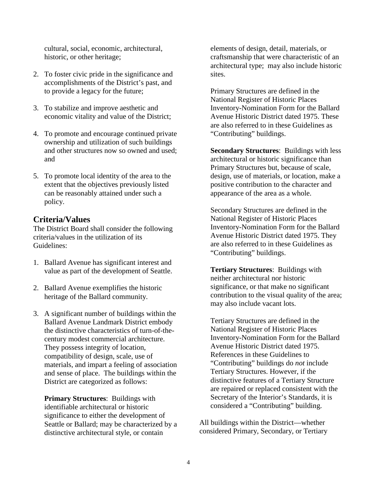cultural, social, economic, architectural, historic, or other heritage;

- 2. To foster civic pride in the significance and accomplishments of the District's past, and to provide a legacy for the future;
- 3. To stabilize and improve aesthetic and economic vitality and value of the District;
- 4. To promote and encourage continued private ownership and utilization of such buildings and other structures now so owned and used; and
- 5. To promote local identity of the area to the extent that the objectives previously listed can be reasonably attained under such a policy.

## **Criteria/Values**

The District Board shall consider the following criteria/values in the utilization of its Guidelines:

- 1. Ballard Avenue has significant interest and value as part of the development of Seattle.
- 2. Ballard Avenue exemplifies the historic heritage of the Ballard community.
- 3. A significant number of buildings within the Ballard Avenue Landmark District embody the distinctive characteristics of turn-of-thecentury modest commercial architecture. They possess integrity of location, compatibility of design, scale, use of materials, and impart a feeling of association and sense of place. The buildings within the District are categorized as follows:

**Primary Structures**: Buildings with identifiable architectural or historic significance to either the development of Seattle or Ballard; may be characterized by a distinctive architectural style, or contain

elements of design, detail, materials, or craftsmanship that were characteristic of an architectural type; may also include historic sites.

Primary Structures are defined in the National Register of Historic Places Inventory-Nomination Form for the Ballard Avenue Historic District dated 1975. These are also referred to in these Guidelines as "Contributing" buildings.

**Secondary Structures**: Buildings with less architectural or historic significance than Primary Structures but, because of scale, design, use of materials, or location, make a positive contribution to the character and appearance of the area as a whole.

Secondary Structures are defined in the National Register of Historic Places Inventory-Nomination Form for the Ballard Avenue Historic District dated 1975. They are also referred to in these Guidelines as "Contributing" buildings.

**Tertiary Structures**: Buildings with neither architectural nor historic significance, or that make no significant contribution to the visual quality of the area; may also include vacant lots.

Tertiary Structures are defined in the National Register of Historic Places Inventory-Nomination Form for the Ballard Avenue Historic District dated 1975. References in these Guidelines to "Contributing" buildings do *not* include Tertiary Structures. However, if the distinctive features of a Tertiary Structure are repaired or replaced consistent with the Secretary of the Interior's Standards, it is considered a "Contributing" building.

All buildings within the District—whether considered Primary, Secondary, or Tertiary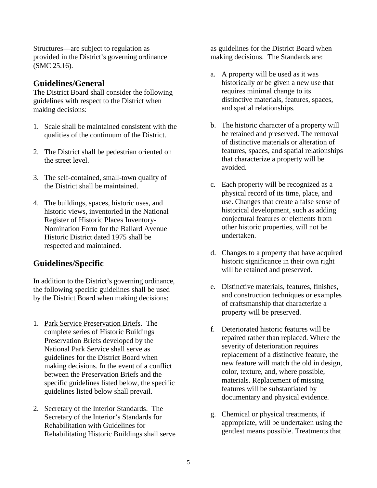Structures—are subject to regulation as provided in the District's governing ordinance (SMC 25.16).

## **Guidelines/General**

The District Board shall consider the following guidelines with respect to the District when making decisions:

- 1. Scale shall be maintained consistent with the qualities of the continuum of the District.
- 2. The District shall be pedestrian oriented on the street level.
- 3. The self-contained, small-town quality of the District shall be maintained.
- 4. The buildings, spaces, historic uses, and historic views, inventoried in the National Register of Historic Places Inventory-Nomination Form for the Ballard Avenue Historic District dated 1975 shall be respected and maintained.

## **Guidelines/Specific**

In addition to the District's governing ordinance, the following specific guidelines shall be used by the District Board when making decisions:

- 1. Park Service Preservation Briefs. The complete series of Historic Buildings Preservation Briefs developed by the National Park Service shall serve as guidelines for the District Board when making decisions. In the event of a conflict between the Preservation Briefs and the specific guidelines listed below, the specific guidelines listed below shall prevail.
- 2. Secretary of the Interior Standards. The Secretary of the Interior's Standards for Rehabilitation with Guidelines for Rehabilitating Historic Buildings shall serve

as guidelines for the District Board when making decisions. The Standards are:

- a. A property will be used as it was historically or be given a new use that requires minimal change to its distinctive materials, features, spaces, and spatial relationships.
- b. The historic character of a property will be retained and preserved. The removal of distinctive materials or alteration of features, spaces, and spatial relationships that characterize a property will be avoided.
- c. Each property will be recognized as a physical record of its time, place, and use. Changes that create a false sense of historical development, such as adding conjectural features or elements from other historic properties, will not be undertaken.
- d. Changes to a property that have acquired historic significance in their own right will be retained and preserved.
- e. Distinctive materials, features, finishes, and construction techniques or examples of craftsmanship that characterize a property will be preserved.
- f. Deteriorated historic features will be repaired rather than replaced. Where the severity of deterioration requires replacement of a distinctive feature, the new feature will match the old in design, color, texture, and, where possible, materials. Replacement of missing features will be substantiated by documentary and physical evidence.
- g. Chemical or physical treatments, if appropriate, will be undertaken using the gentlest means possible. Treatments that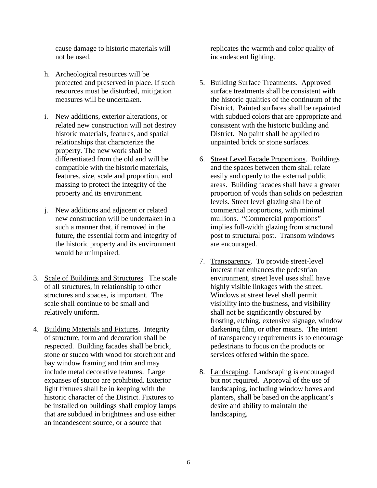cause damage to historic materials will not be used.

- h. Archeological resources will be protected and preserved in place. If such resources must be disturbed, mitigation measures will be undertaken.
- i. New additions, exterior alterations, or related new construction will not destroy historic materials, features, and spatial relationships that characterize the property. The new work shall be differentiated from the old and will be compatible with the historic materials, features, size, scale and proportion, and massing to protect the integrity of the property and its environment.
- j. New additions and adjacent or related new construction will be undertaken in a such a manner that, if removed in the future, the essential form and integrity of the historic property and its environment would be unimpaired.
- 3. Scale of Buildings and Structures. The scale of all structures, in relationship to other structures and spaces, is important. The scale shall continue to be small and relatively uniform.
- 4. Building Materials and Fixtures. Integrity of structure, form and decoration shall be respected. Building facades shall be brick, stone or stucco with wood for storefront and bay window framing and trim and may include metal decorative features. Large expanses of stucco are prohibited. Exterior light fixtures shall be in keeping with the historic character of the District. Fixtures to be installed on buildings shall employ lamps that are subdued in brightness and use either an incandescent source, or a source that

replicates the warmth and color quality of incandescent lighting.

- 5. Building Surface Treatments. Approved surface treatments shall be consistent with the historic qualities of the continuum of the District. Painted surfaces shall be repainted with subdued colors that are appropriate and consistent with the historic building and District. No paint shall be applied to unpainted brick or stone surfaces.
- 6. Street Level Facade Proportions. Buildings and the spaces between them shall relate easily and openly to the external public areas. Building facades shall have a greater proportion of voids than solids on pedestrian levels. Street level glazing shall be of commercial proportions, with minimal mullions. "Commercial proportions" implies full-width glazing from structural post to structural post. Transom windows are encouraged.
- 7. Transparency. To provide street-level interest that enhances the pedestrian environment, street level uses shall have highly visible linkages with the street. Windows at street level shall permit visibility into the business, and visibility shall not be significantly obscured by frosting, etching, extensive signage, window darkening film, or other means. The intent of transparency requirements is to encourage pedestrians to focus on the products or services offered within the space.
- 8. Landscaping. Landscaping is encouraged but not required. Approval of the use of landscaping, including window boxes and planters, shall be based on the applicant's desire and ability to maintain the landscaping.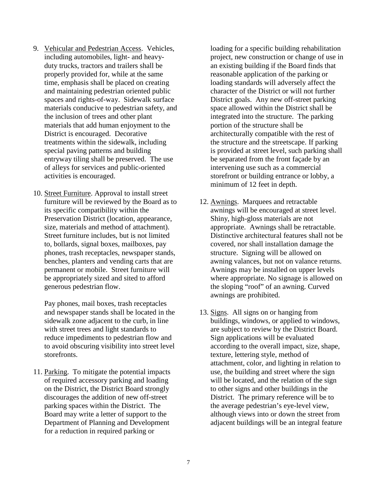- 9. Vehicular and Pedestrian Access. Vehicles, including automobiles, light- and heavyduty trucks, tractors and trailers shall be properly provided for, while at the same time, emphasis shall be placed on creating and maintaining pedestrian oriented public spaces and rights-of-way. Sidewalk surface materials conducive to pedestrian safety, and the inclusion of trees and other plant materials that add human enjoyment to the District is encouraged. Decorative treatments within the sidewalk, including special paving patterns and building entryway tiling shall be preserved. The use of alleys for services and public-oriented activities is encouraged.
- 10. Street Furniture. Approval to install street furniture will be reviewed by the Board as to its specific compatibility within the Preservation District (location, appearance, size, materials and method of attachment). Street furniture includes, but is not limited to, bollards, signal boxes, mailboxes, pay phones, trash receptacles, newspaper stands, benches, planters and vending carts that are permanent or mobile. Street furniture will be appropriately sized and sited to afford generous pedestrian flow.

Pay phones, mail boxes, trash receptacles and newspaper stands shall be located in the sidewalk zone adjacent to the curb, in line with street trees and light standards to reduce impediments to pedestrian flow and to avoid obscuring visibility into street level storefronts.

11. Parking. To mitigate the potential impacts of required accessory parking and loading on the District, the District Board strongly discourages the addition of new off-street parking spaces within the District. The Board may write a letter of support to the Department of Planning and Development for a reduction in required parking or

loading for a specific building rehabilitation project, new construction or change of use in an existing building if the Board finds that reasonable application of the parking or loading standards will adversely affect the character of the District or will not further District goals. Any new off-street parking space allowed within the District shall be integrated into the structure. The parking portion of the structure shall be architecturally compatible with the rest of the structure and the streetscape. If parking is provided at street level, such parking shall be separated from the front façade by an intervening use such as a commercial storefront or building entrance or lobby, a minimum of 12 feet in depth.

- 12. Awnings. Marquees and retractable awnings will be encouraged at street level. Shiny, high-gloss materials are not appropriate. Awnings shall be retractable. Distinctive architectural features shall not be covered, nor shall installation damage the structure. Signing will be allowed on awning valances, but not on valance returns. Awnings may be installed on upper levels where appropriate. No signage is allowed on the sloping "roof" of an awning. Curved awnings are prohibited.
- 13. Signs. All signs on or hanging from buildings, windows, or applied to windows, are subject to review by the District Board. Sign applications will be evaluated according to the overall impact, size, shape, texture, lettering style, method of attachment, color, and lighting in relation to use, the building and street where the sign will be located, and the relation of the sign to other signs and other buildings in the District. The primary reference will be to the average pedestrian's eye-level view, although views into or down the street from adjacent buildings will be an integral feature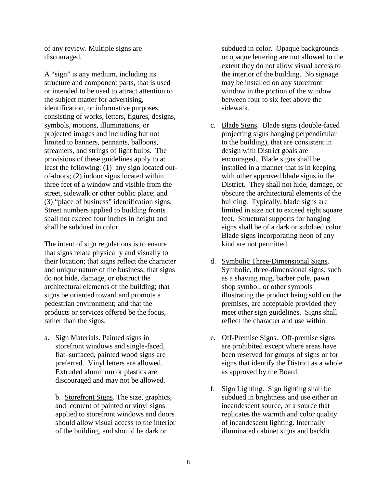of any review. Multiple signs are discouraged.

A "sign" is any medium, including its structure and component parts, that is used or intended to be used to attract attention to the subject matter for advertising, identification, or informative purposes, consisting of works, letters, figures, designs, symbols, motions, illuminations, or projected images and including but not limited to banners, pennants, balloons, streamers, and strings of light bulbs. The provisions of these guidelines apply to at least the following: (1) any sign located outof-doors; (2) indoor signs located within three feet of a window and visible from the street, sidewalk or other public place; and (3) "place of business" identification signs. Street numbers applied to building fronts shall not exceed four inches in height and shall be subdued in color.

The intent of sign regulations is to ensure that signs relate physically and visually to their location; that signs reflect the character and unique nature of the business; that signs do not hide, damage, or obstruct the architectural elements of the building; that signs be oriented toward and promote a pedestrian environment; and that the products or services offered be the focus, rather than the signs.

a. Sign Materials. Painted signs in storefront windows and single-faced, flat–surfaced, painted wood signs are preferred. Vinyl letters are allowed. Extruded aluminum or plastics are discouraged and may not be allowed.

b. Storefront Signs. The size, graphics, and content of painted or vinyl signs applied to storefront windows and doors should allow visual access to the interior of the building, and should be dark or

subdued in color. Opaque backgrounds or opaque lettering are not allowed to the extent they do not allow visual access to the interior of the building. No signage may be installed on any storefront window in the portion of the window between four to six feet above the sidewalk.

- c. Blade Signs. Blade signs (double-faced projecting signs hanging perpendicular to the building), that are consistent in design with District goals are encouraged. Blade signs shall be installed in a manner that is in keeping with other approved blade signs in the District. They shall not hide, damage, or obscure the architectural elements of the building. Typically, blade signs are limited in size not to exceed eight square feet. Structural supports for hanging signs shall be of a dark or subdued color. Blade signs incorporating neon of any kind are not permitted.
- d. Symbolic Three-Dimensional Signs. Symbolic, three-dimensional signs, such as a shaving mug, barber pole, pawn shop symbol, or other symbols illustrating the product being sold on the premises, are acceptable provided they meet other sign guidelines. Signs shall reflect the character and use within.
- e. Off-Premise Signs. Off-premise signs are prohibited except where areas have been reserved for groups of signs or for signs that identify the District as a whole as approved by the Board.
- f. Sign Lighting. Sign lighting shall be subdued in brightness and use either an incandescent source, or a source that replicates the warmth and color quality of incandescent lighting. Internally illuminated cabinet signs and backlit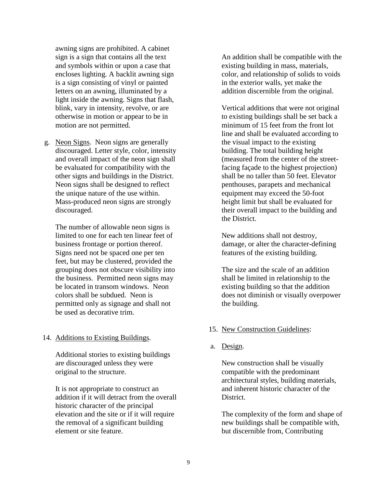awning signs are prohibited. A cabinet sign is a sign that contains all the text and symbols within or upon a case that encloses lighting. A backlit awning sign is a sign consisting of vinyl or painted letters on an awning, illuminated by a light inside the awning. Signs that flash, blink, vary in intensity, revolve, or are otherwise in motion or appear to be in motion are not permitted.

g. Neon Signs. Neon signs are generally discouraged. Letter style, color, intensity and overall impact of the neon sign shall be evaluated for compatibility with the other signs and buildings in the District. Neon signs shall be designed to reflect the unique nature of the use within. Mass-produced neon signs are strongly discouraged.

The number of allowable neon signs is limited to one for each ten linear feet of business frontage or portion thereof. Signs need not be spaced one per ten feet, but may be clustered, provided the grouping does not obscure visibility into the business. Permitted neon signs may be located in transom windows. Neon colors shall be subdued. Neon is permitted only as signage and shall not be used as decorative trim.

14. Additions to Existing Buildings.

Additional stories to existing buildings are discouraged unless they were original to the structure.

It is not appropriate to construct an addition if it will detract from the overall historic character of the principal elevation and the site or if it will require the removal of a significant building element or site feature.

An addition shall be compatible with the existing building in mass, materials, color, and relationship of solids to voids in the exterior walls, yet make the addition discernible from the original.

Vertical additions that were not original to existing buildings shall be set back a minimum of 15 feet from the front lot line and shall be evaluated according to the visual impact to the existing building. The total building height (measured from the center of the streetfacing façade to the highest projection) shall be no taller than 50 feet. Elevator penthouses, parapets and mechanical equipment may exceed the 50-foot height limit but shall be evaluated for their overall impact to the building and the District.

New additions shall not destroy, damage, or alter the character-defining features of the existing building.

The size and the scale of an addition shall be limited in relationship to the existing building so that the addition does not diminish or visually overpower the building.

### 15. New Construction Guidelines:

a. Design.

New construction shall be visually compatible with the predominant architectural styles, building materials, and inherent historic character of the District.

The complexity of the form and shape of new buildings shall be compatible with, but discernible from, Contributing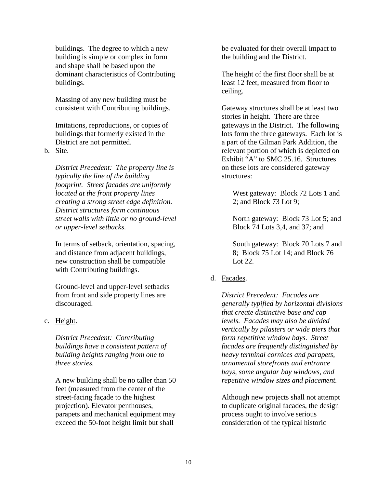buildings. The degree to which a new building is simple or complex in form and shape shall be based upon the dominant characteristics of Contributing buildings.

Massing of any new building must be consistent with Contributing buildings.

Imitations, reproductions, or copies of buildings that formerly existed in the District are not permitted.

b. Site.

*District Precedent: The property line is typically the line of the building footprint. Street facades are uniformly located at the front property lines creating a strong street edge definition. District structures form continuous street walls with little or no ground-level or upper-level setbacks.*

In terms of setback, orientation, spacing, and distance from adjacent buildings, new construction shall be compatible with Contributing buildings.

Ground-level and upper-level setbacks from front and side property lines are discouraged.

#### c. Height.

*District Precedent: Contributing buildings have a consistent pattern of building heights ranging from one to three stories.*

A new building shall be no taller than 50 feet (measured from the center of the street-facing façade to the highest projection). Elevator penthouses, parapets and mechanical equipment may exceed the 50-foot height limit but shall

be evaluated for their overall impact to the building and the District.

The height of the first floor shall be at least 12 feet, measured from floor to ceiling.

Gateway structures shall be at least two stories in height. There are three gateways in the District. The following lots form the three gateways. Each lot is a part of the Gilman Park Addition, the relevant portion of which is depicted on Exhibit "A" to SMC 25.16. Structures on these lots are considered gateway structures:

West gateway: Block 72 Lots 1 and 2; and Block 73 Lot 9;

North gateway: Block 73 Lot 5; and Block 74 Lots 3,4, and 37; and

South gateway: Block 70 Lots 7 and 8; Block 75 Lot 14; and Block 76 Lot  $22<sub>1</sub>$ 

#### d. Facades.

*District Precedent: Facades are generally typified by horizontal divisions that create distinctive base and cap levels. Facades may also be divided vertically by pilasters or wide piers that form repetitive window bays. Street facades are frequently distinguished by heavy terminal cornices and parapets, ornamental storefronts and entrance bays, some angular bay windows, and repetitive window sizes and placement.*

Although new projects shall not attempt to duplicate original facades, the design process ought to involve serious consideration of the typical historic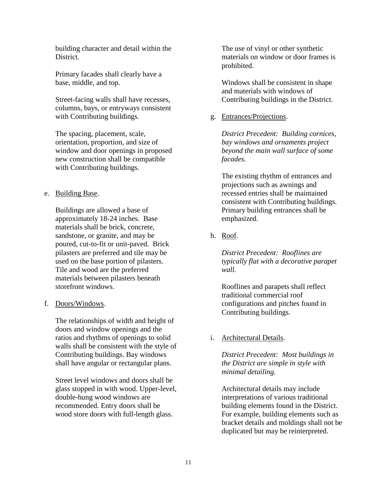building character and detail within the District.

Primary facades shall clearly have a base, middle, and top.

Street-facing walls shall have recesses, columns, bays, or entryways consistent with Contributing buildings.

The spacing, placement, scale, orientation, proportion, and size of window and door openings in proposed new construction shall be compatible with Contributing buildings.

#### e. Building Base.

Buildings are allowed a base of approximately 18-24 inches*.* Base materials shall be brick, concrete, sandstone, or granite, and may be poured, cut-to-fit or unit-paved. Brick pilasters are preferred and tile may be used on the base portion of pilasters. Tile and wood are the preferred materials between pilasters beneath storefront windows.

#### f. Doors/Windows.

The relationships of width and height of doors and window openings and the ratios and rhythms of openings to solid walls shall be consistent with the style of Contributing buildings. Bay windows shall have angular or rectangular plans.

Street level windows and doors shall be glass stopped in with wood. Upper-level, double-hung wood windows are recommended. Entry doors shall be wood store doors with full-length glass.

The use of vinyl or other synthetic materials on window or door frames is prohibited.

Windows shall be consistent in shape and materials with windows of Contributing buildings in the District.

g. Entrances/Projections.

*District Precedent: Building cornices, bay windows and ornaments project beyond the main wall surface of some facades.* 

The existing rhythm of entrances and projections such as awnings and recessed entries shall be maintained consistent with Contributing buildings. Primary building entrances shall be emphasized.

h. Roof.

*District Precedent: Rooflines are typically flat with a decorative parapet wall.*

Rooflines and parapets shall reflect traditional commercial roof configurations and pitches found in Contributing buildings.

### i. Architectural Details.

*District Precedent: Most buildings in the District are simple in style with minimal detailing.* 

Architectural details may include interpretations of various traditional building elements found in the District. For example, building elements such as bracket details and moldings shall not be duplicated but may be reinterpreted.